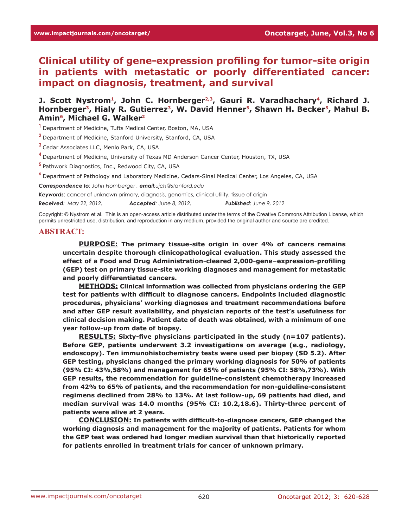**Clinical utility of gene-expression profiling for tumor-site origin in patients with metastatic or poorly differentiated cancer: impact on diagnosis, treatment, and survival**

J. Scott Nystrom<sup>1</sup>, John C. Hornberger<sup>2,3</sup>, Gauri R. Varadhachary<sup>4</sup>, Richard J. Hornberger<sup>3</sup>, Hialy R. Gutierrez<sup>3</sup>, W. David Henner<sup>5</sup>, Shawn H. Becker<sup>5</sup>, Mahul B. **Amin6, Michael G. Walker2**

**<sup>1</sup>**Department of Medicine, Tufts Medical Center, Boston, MA, USA

**<sup>2</sup>**Department of Medicine, Stanford University, Stanford, CA, USA

**<sup>3</sup>**Cedar Associates LLC, Menlo Park, CA, USA

**<sup>4</sup>**Department of Medicine, University of Texas MD Anderson Cancer Center, Houston, TX, USA

**<sup>5</sup>**Pathwork Diagnostics, Inc., Redwood City, CA, USA

**<sup>6</sup>**Department of Pathology and Laboratory Medicine, Cedars-Sinai Medical Center, Los Angeles, CA, USA

*Correspondence to: John Hornberger , email:ujch@stanford.edu*

*Keywords*: cancer of unknown primary, diagnosis, genomics, clinical utility, tissue of origin

*Received: May 22, 2012, Accepted: June 8, 2012, Published: June 9, 2012*

Copyright: © Nystrom et al. This is an open-access article distributed under the terms of the Creative Commons Attribution License, which permits unrestricted use, distribution, and reproduction in any medium, provided the original author and source are credited.

#### **ABSTRACT:**

**PURPOSE: The primary tissue-site origin in over 4% of cancers remains uncertain despite thorough clinicopathological evaluation. This study assessed the effect of a Food and Drug Administration-cleared 2,000-gene–expression-profiling (GEP) test on primary tissue-site working diagnoses and management for metastatic and poorly differentiated cancers.** 

**METHODS: Clinical information was collected from physicians ordering the GEP test for patients with difficult to diagnose cancers. Endpoints included diagnostic procedures, physicians' working diagnoses and treatment recommendations before and after GEP result availability, and physician reports of the test's usefulness for clinical decision making. Patient date of death was obtained, with a minimum of one year follow-up from date of biopsy.**

**RESULTS: Sixty-five physicians participated in the study (n=107 patients). Before GEP, patients underwent 3.2 investigations on average (e.g., radiology, endoscopy). Ten immunohistochemistry tests were used per biopsy (SD 5.2). After GEP testing, physicians changed the primary working diagnosis for 50% of patients (95% CI: 43%,58%) and management for 65% of patients (95% CI: 58%,73%). With GEP results, the recommendation for guideline-consistent chemotherapy increased from 42% to 65% of patients, and the recommendation for non-guideline-consistent regimens declined from 28% to 13%. At last follow-up, 69 patients had died, and median survival was 14.0 months (95% CI: 10.2,18.6). Thirty-three percent of patients were alive at 2 years.** 

**CONCLUSION: In patients with difficult-to-diagnose cancers, GEP changed the working diagnosis and management for the majority of patients. Patients for whom the GEP test was ordered had longer median survival than that historically reported for patients enrolled in treatment trials for cancer of unknown primary.**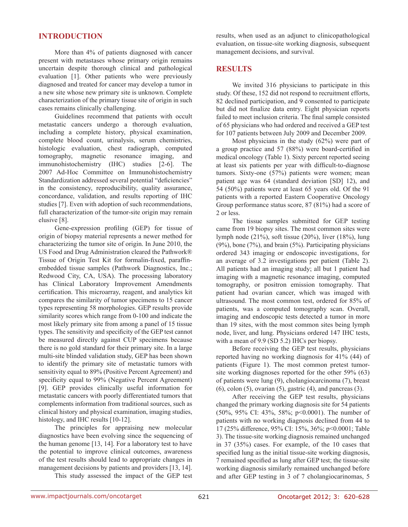## **INTRODUCTION**

More than 4% of patients diagnosed with cancer present with metastases whose primary origin remains uncertain despite thorough clinical and pathological evaluation [1]. Other patients who were previously diagnosed and treated for cancer may develop a tumor in a new site whose new primary site is unknown. Complete characterization of the primary tissue site of origin in such cases remains clinically challenging.

Guidelines recommend that patients with occult metastatic cancers undergo a thorough evaluation, including a complete history, physical examination, complete blood count, urinalysis, serum chemistries, histologic evaluation, chest radiograph, computed tomography, magnetic resonance imaging, and immunohistochemistry (IHC) studies [2-6]. The 2007 Ad-Hoc Committee on Immunohistochemistry Standardization addressed several potential "deficiencies" in the consistency, reproducibility, quality assurance, concordance, validation, and results reporting of IHC studies [7]. Even with adoption of such recommendations, full characterization of the tumor-site origin may remain elusive [8].

Gene-expression profiling (GEP) for tissue of origin of biopsy material represents a newer method for characterizing the tumor site of origin. In June 2010, the US Food and Drug Administration cleared the Pathwork® Tissue of Origin Test Kit for formalin-fixed, paraffinembedded tissue samples (Pathwork Diagnostics, Inc.; Redwood City, CA, USA). The processing laboratory has Clinical Laboratory Improvement Amendments certification. This microarray, reagent, and analytics kit compares the similarity of tumor specimens to 15 cancer types representing 58 morphologies. GEP results provide similarity scores which range from 0-100 and indicate the most likely primary site from among a panel of 15 tissue types. The sensitivity and specificity of the GEP test cannot be measured directly against CUP specimens because there is no gold standard for their primary site. In a large multi-site blinded validation study, GEP has been shown to identify the primary site of metastatic tumors with sensitivity equal to 89% (Positive Percent Agreement) and specificity equal to 99% (Negative Percent Agreement) [9]. GEP provides clinically useful information for metastatic cancers with poorly differentiated tumors that complements information from traditional sources, such as clinical history and physical examination, imaging studies, histology, and IHC results [10-12].

The principles for appraising new molecular diagnostics have been evolving since the sequencing of the human genome [13, 14]. For a laboratory test to have the potential to improve clinical outcomes, awareness of the test results should lead to appropriate changes in management decisions by patients and providers [13, 14].

This study assessed the impact of the GEP test

results, when used as an adjunct to clinicopathological evaluation, on tissue-site working diagnosis, subsequent management decisions, and survival.

#### **RESULTS**

We invited 316 physicians to participate in this study. Of these, 152 did not respond to recruitment efforts, 82 declined participation, and 9 consented to participate but did not finalize data entry. Eight physician reports failed to meet inclusion criteria. The final sample consisted of 65 physicians who had ordered and received a GEP test for 107 patients between July 2009 and December 2009.

Most physicians in the study (62%) were part of a group practice and 57 (88%) were board-certified in medical oncology (Table 1). Sixty percent reported seeing at least six patients per year with difficult-to-diagnose tumors. Sixty-one (57%) patients were women; mean patient age was 64 (standard deviation [SD] 12), and 54 (50%) patients were at least 65 years old. Of the 91 patients with a reported Eastern Cooperative Oncology Group performance status score, 87 (81%) had a score of 2 or less.

The tissue samples submitted for GEP testing came from 19 biopsy sites. The most common sites were lymph node (21%), soft tissue (20%), liver (18%), lung (9%), bone (7%), and brain (5%). Participating physicians ordered 343 imaging or endoscopic investigations, for an average of 3.2 investigations per patient (Table 2). All patients had an imaging study; all but 1 patient had imaging with a magnetic resonance imaging, computed tomography, or positron emission tomography. That patient had ovarian cancer, which was imaged with ultrasound. The most common test, ordered for 85% of patients, was a computed tomography scan. Overall, imaging and endoscopic tests detected a tumor in more than 19 sites, with the most common sites being lymph node, liver, and lung. Physicians ordered 147 IHC tests, with a mean of 9.9 (SD 5.2) IHCs per biopsy.

Before receiving the GEP test results, physicians reported having no working diagnosis for 41% (44) of patients (Figure 1). The most common pretest tumorsite working diagnoses reported for the other 59% (63) of patients were lung (9), cholangiocarcinoma (7), breast  $(6)$ , colon  $(5)$ , ovarian  $(5)$ , gastric  $(4)$ , and pancreas  $(3)$ .

After receiving the GEP test results, physicians changed the primary working diagnosis site for 54 patients (50%, 95% CI: 43%, 58%; p<0.0001). The number of patients with no working diagnosis declined from 44 to 17 (25% difference, 95% CI: 15%, 36%; p<0.0001; Table 3). The tissue-site working diagnosis remained unchanged in 37 (35%) cases. For example, of the 10 cases that specified lung as the initial tissue-site working diagnosis, 7 remained specified as lung after GEP test; the tissue-site working diagnosis similarly remained unchanged before and after GEP testing in 3 of 7 cholangiocarinomas, 5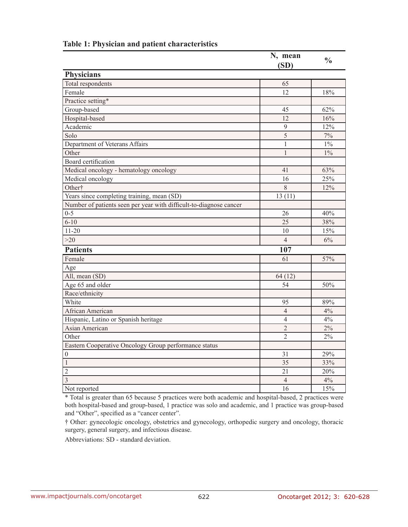|                                                                    | N, mean<br>(SD) | $\frac{0}{0}$ |  |
|--------------------------------------------------------------------|-----------------|---------------|--|
| <b>Physicians</b>                                                  |                 |               |  |
| <b>Total respondents</b>                                           | 65              |               |  |
| Female                                                             | 12              | 18%           |  |
| Practice setting*                                                  |                 |               |  |
| Group-based                                                        | 45              | 62%           |  |
| Hospital-based                                                     | 12              | 16%           |  |
| Academic                                                           | 9               | 12%           |  |
| Solo                                                               | $\overline{5}$  | $7\%$         |  |
| Department of Veterans Affairs                                     | $\mathbf{1}$    | $1\%$         |  |
| Other                                                              | $\mathbf{1}$    | $1\%$         |  |
| <b>Board</b> certification                                         |                 |               |  |
| Medical oncology - hematology oncology                             | 41              | 63%           |  |
| Medical oncology                                                   | 16              | 25%           |  |
| Other†                                                             | 8               | 12%           |  |
| Years since completing training, mean (SD)                         | 13(11)          |               |  |
| Number of patients seen per year with difficult-to-diagnose cancer |                 |               |  |
| $0 - 5$                                                            | 26              | 40%           |  |
| $6 - 10$                                                           | 25              | 38%           |  |
| $11 - 20$                                                          | 10              | 15%           |  |
| >20                                                                | $\overline{4}$  | 6%            |  |
| <b>Patients</b>                                                    | 107             |               |  |
| Female                                                             | 61              | 57%           |  |
| Age                                                                |                 |               |  |
| $\overline{All}$ , mean (SD)                                       | 64(12)          |               |  |
| Age 65 and older                                                   | 54              | 50%           |  |
| Race/ethnicity                                                     |                 |               |  |
| White                                                              | 95              | 89%           |  |
| African American                                                   | $\overline{4}$  | $4\%$         |  |
| Hispanic, Latino or Spanish heritage                               | $\overline{4}$  | 4%            |  |
| Asian American                                                     | $\overline{2}$  | 2%            |  |
| Other                                                              | $\overline{2}$  | $2\%$         |  |
| Eastern Cooperative Oncology Group performance status              |                 |               |  |
| $\mathbf{0}$                                                       | 31              | 29%           |  |
| 1                                                                  | 35              | 33%           |  |
| $\overline{2}$                                                     | 21              | 20%           |  |
| $\overline{\mathbf{3}}$                                            | $\overline{4}$  | $4\%$         |  |
| Not reported                                                       | 16              | 15%           |  |

# **Table 1: Physician and patient characteristics**

\* Total is greater than 65 because 5 practices were both academic and hospital-based, 2 practices were both hospital-based and group-based, 1 practice was solo and academic, and 1 practice was group-based and "Other", specified as a "cancer center".

† Other: gynecologic oncology, obstetrics and gynecology, orthopedic surgery and oncology, thoracic surgery, general surgery, and infectious disease.

Abbreviations: SD - standard deviation.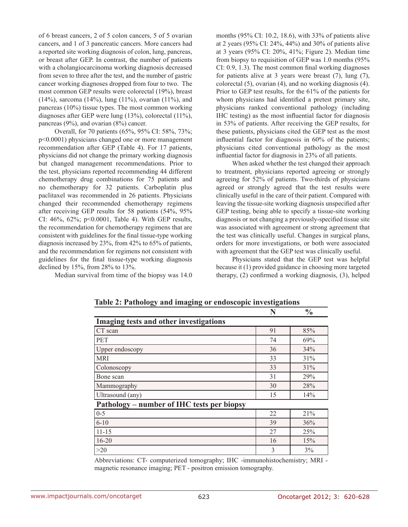of 6 breast cancers, 2 of 5 colon cancers, 5 of 5 ovarian cancers, and 1 of 3 pancreatic cancers. More cancers had a reported site working diagnosis of colon, lung, pancreas, or breast after GEP. In contrast, the number of patients with a cholangiocarcinoma working diagnosis decreased from seven to three after the test, and the number of gastric cancer working diagnoses dropped from four to two. The most common GEP results were colorectal (19%), breast (14%), sarcoma (14%), lung (11%), ovarian (11%), and pancreas (10%) tissue types. The most common working diagnoses after GEP were lung (13%), colorectal (11%), pancreas (9%), and ovarian (8%) cancer.

Overall, for 70 patients (65%, 95% CI: 58%, 73%; p<0.0001) physicians changed one or more management recommendation after GEP (Table 4). For 17 patients, physicians did not change the primary working diagnosis but changed management recommendations. Prior to the test, physicians reported recommending 44 different chemotherapy drug combinations for 75 patients and no chemotherapy for 32 patients. Carboplatin plus paclitaxel was recommended in 26 patients. Physicians changed their recommended chemotherapy regimens after receiving GEP results for 58 patients (54%, 95% CI: 46%, 62%; p<0.0001, Table 4). With GEP results, the recommendation for chemotherapy regimens that are consistent with guidelines for the final tissue-type working diagnosis increased by 23%, from 42% to 65% of patients, and the recommendation for regimens not consistent with guidelines for the final tissue-type working diagnosis declined by 15%, from 28% to 13%.

Median survival from time of the biopsy was 14.0

months (95% CI: 10.2, 18.6), with 33% of patients alive at 2 years (95% CI: 24%, 44%) and 30% of patients alive at 3 years (95% CI: 20%, 41%; Figure 2). Median time from biopsy to requisition of GEP was 1.0 months (95% CI: 0.9, 1.3). The most common final working diagnoses for patients alive at 3 years were breast (7), lung (7), colorectal (5), ovarian (4), and no working diagnosis (4). Prior to GEP test results, for the 61% of the patients for whom physicians had identified a pretest primary site, physicians ranked conventional pathology (including IHC testing) as the most influential factor for diagnosis in 53% of patients. After receiving the GEP results, for these patients, physicians cited the GEP test as the most influential factor for diagnosis in 60% of the patients; physicians cited conventional pathology as the most influential factor for diagnosis in 23% of all patients.

When asked whether the test changed their approach to treatment, physicians reported agreeing or strongly agreeing for 52% of patients. Two-thirds of physicians agreed or strongly agreed that the test results were clinically useful in the care of their patient. Compared with leaving the tissue-site working diagnosis unspecified after GEP testing, being able to specify a tissue-site working diagnosis or not changing a previously-specified tissue site was associated with agreement or strong agreement that the test was clinically useful. Changes in surgical plans, orders for more investigations, or both were associated with agreement that the GEP test was clinically useful.

Physicians stated that the GEP test was helpful because it (1) provided guidance in choosing more targeted therapy, (2) confirmed a working diagnosis, (3), helped

|                                            | N  | $\frac{0}{0}$ |  |  |
|--------------------------------------------|----|---------------|--|--|
| Imaging tests and other investigations     |    |               |  |  |
| CT scan                                    | 91 | 85%           |  |  |
| <b>PET</b>                                 | 74 | 69%           |  |  |
| Upper endoscopy                            | 36 | 34%           |  |  |
| <b>MRI</b>                                 | 33 | 31%           |  |  |
| Colonoscopy                                | 33 | 31%           |  |  |
| Bone scan                                  | 31 | 29%           |  |  |
| Mammography                                | 30 | 28%           |  |  |
| Ultrasound (any)                           | 15 | 14%           |  |  |
| Pathology – number of IHC tests per biopsy |    |               |  |  |
| $0 - 5$                                    | 22 | 21%           |  |  |
| $6 - 10$                                   | 39 | 36%           |  |  |
| $11 - 15$                                  | 27 | 25%           |  |  |
| $16 - 20$                                  | 16 | 15%           |  |  |
| >20                                        | 3  | 3%            |  |  |

**Table 2: Pathology and imaging or endoscopic investigations**

Abbreviations: CT- computerized tomography; IHC -immunohistochemistry; MRI magnetic resonance imaging; PET - positron emission tomography.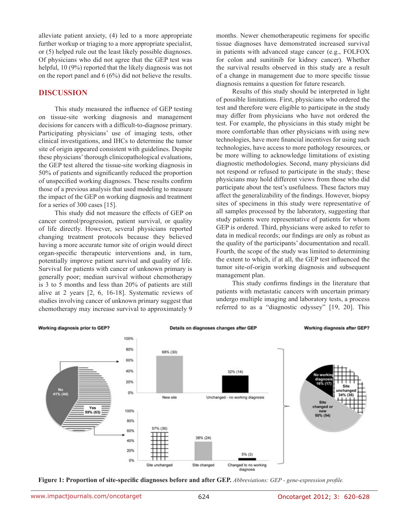alleviate patient anxiety, (4) led to a more appropriate further workup or triaging to a more appropriate specialist, or (5) helped rule out the least likely possible diagnoses. Of physicians who did not agree that the GEP test was helpful, 10 (9%) reported that the likely diagnosis was not on the report panel and 6 (6%) did not believe the results.

#### **DISCUSSION**

This study measured the influence of GEP testing on tissue-site working diagnosis and management decisions for cancers with a difficult-to-diagnose primary. Participating physicians' use of imaging tests, other clinical investigations, and IHCs to determine the tumor site of origin appeared consistent with guidelines. Despite these physicians' thorough clinicopathological evaluations, the GEP test altered the tissue-site working diagnosis in 50% of patients and significantly reduced the proportion of unspecified working diagnoses. These results confirm those of a previous analysis that used modeling to measure the impact of the GEP on working diagnosis and treatment for a series of 300 cases [15].

This study did not measure the effects of GEP on cancer control/progression, patient survival, or quality of life directly. However, several physicians reported changing treatment protocols because they believed having a more accurate tumor site of origin would direct organ-specific therapeutic interventions and, in turn, potentially improve patient survival and quality of life. Survival for patients with cancer of unknown primary is generally poor; median survival without chemotherapy is 3 to 5 months and less than 20% of patients are still alive at 2 years [2, 6, 16-18]. Systematic reviews of studies involving cancer of unknown primary suggest that chemotherapy may increase survival to approximately 9

months. Newer chemotherapeutic regimens for specific tissue diagnoses have demonstrated increased survival in patients with advanced stage cancer (e.g., FOLFOX for colon and sunitinib for kidney cancer). Whether the survival results observed in this study are a result of a change in management due to more specific tissue diagnosis remains a question for future research.

Results of this study should be interpreted in light of possible limitations. First, physicians who ordered the test and therefore were eligible to participate in the study may differ from physicians who have not ordered the test. For example, the physicians in this study might be more comfortable than other physicians with using new technologies, have more financial incentives for using such technologies, have access to more pathology resources, or be more willing to acknowledge limitations of existing diagnostic methodologies. Second, many physicians did not respond or refused to participate in the study; these physicians may hold different views from those who did participate about the test's usefulness. These factors may affect the generalizability of the findings. However, biopsy sites of specimens in this study were representative of all samples processed by the laboratory, suggesting that study patients were representative of patients for whom GEP is ordered. Third, physicians were asked to refer to data in medical records; our findings are only as robust as the quality of the participants' documentation and recall. Fourth, the scope of the study was limited to determining the extent to which, if at all, the GEP test influenced the tumor site-of-origin working diagnosis and subsequent management plan.

This study confirms findings in the literature that patients with metastatic cancers with uncertain primary undergo multiple imaging and laboratory tests, a process referred to as a "diagnostic odyssey" [19, 20]. This



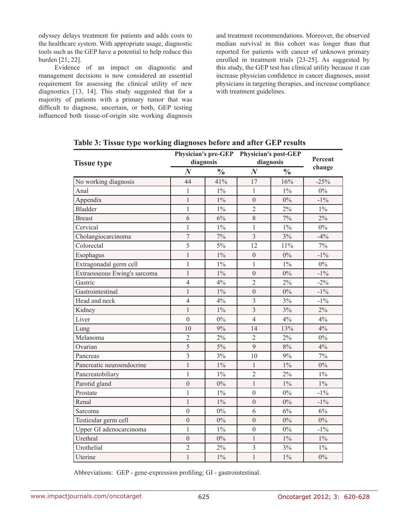odyssey delays treatment for patients and adds costs to the healthcare system. With appropriate usage, diagnostic tools such as the GEP have a potential to help reduce this burden [21, 22].

Evidence of an impact on diagnostic and management decisions is now considered an essential requirement for assessing the clinical utility of new diagnostics [13, 14]. This study suggested that for a majority of patients with a primary tumor that was difficult to diagnose, uncertain, or both, GEP testing influenced both tissue-of-origin site working diagnosis

and treatment recommendations. Moreover, the observed median survival in this cohort was longer than that reported for patients with cancer of unknown primary enrolled in treatment trials [23-25]. As suggested by this study, the GEP test has clinical utility because it can increase physician confidence in cancer diagnoses, assist physicians in targeting therapies, and increase compliance with treatment guidelines.

|                              |                |               | Physician's pre-GEP Physician's post-GEP |               | Percent |
|------------------------------|----------------|---------------|------------------------------------------|---------------|---------|
| <b>Tissue type</b>           | diagnosis      |               | diagnosis                                |               |         |
|                              | $\bm{N}$       | $\frac{0}{0}$ | $\boldsymbol{N}$                         | $\frac{0}{0}$ | change  |
| No working diagnosis         | 44             | 41%           | 17                                       | 16%           | $-25%$  |
| Anal                         | $\mathbf{1}$   | $1\%$         | 1                                        | $1\%$         | $0\%$   |
| Appendix                     | $\mathbf{1}$   | $1\%$         | $\mathbf{0}$                             | $0\%$         | $-1\%$  |
| <b>Bladder</b>               | $\mathbf{1}$   | $1\%$         | $\overline{2}$                           | 2%            | $1\%$   |
| <b>Breast</b>                | 6              | 6%            | 8                                        | 7%            | 2%      |
| Cervical                     | $\mathbf{1}$   | $1\%$         | $\mathbf{1}$                             | $1\%$         | $0\%$   |
| Cholangiocarcinoma           | $\overline{7}$ | 7%            | $\overline{3}$                           | 3%            | $-4%$   |
| Colorectal                   | 5              | $5\%$         | 12                                       | 11%           | $7\%$   |
| Esophagus                    | $\mathbf{1}$   | $1\%$         | $\mathbf{0}$                             | 0%            | $-1\%$  |
| Extragonadal germ cell       | $\mathbf{1}$   | $1\%$         | $\mathbf{1}$                             | $1\%$         | $0\%$   |
| Extraosseous Ewing's sarcoma | $\mathbf{1}$   | $1\%$         | $\boldsymbol{0}$                         | $0\%$         | $-1\%$  |
| Gastric                      | $\overline{4}$ | 4%            | $\overline{2}$                           | 2%            | $-2\%$  |
| Gastrointestinal             | $\mathbf{1}$   | $1\%$         | $\mathbf{0}$                             | $0\%$         | $-1\%$  |
| Head and neck                | $\overline{4}$ | 4%            | $\overline{3}$                           | 3%            | $-1\%$  |
| Kidney                       | $\mathbf{1}$   | $1\%$         | $\overline{3}$                           | 3%            | 2%      |
| Liver                        | $\overline{0}$ | $0\%$         | $\overline{4}$                           | 4%            | 4%      |
| Lung                         | 10             | 9%            | 14                                       | 13%           | 4%      |
| Melanoma                     | $\overline{2}$ | 2%            | $\overline{2}$                           | 2%            | $0\%$   |
| Ovarian                      | $\overline{5}$ | $5\%$         | 9                                        | $8\%$         | 4%      |
| Pancreas                     | $\overline{3}$ | 3%            | 10                                       | 9%            | $7\%$   |
| Pancreatic neuroendocrine    | $\mathbf{1}$   | $1\%$         | $\mathbf{1}$                             | $1\%$         | 0%      |
| Pancreatobiliary             | $\mathbf{1}$   | $1\%$         | $\overline{2}$                           | 2%            | $1\%$   |
| Parotid gland                | $\overline{0}$ | $0\%$         | $\mathbf{1}$                             | $1\%$         | $1\%$   |
| Prostate                     | $\mathbf{1}$   | $1\%$         | $\mathbf{0}$                             | $0\%$         | $-1\%$  |
| Renal                        | $\mathbf{1}$   | $1\%$         | $\mathbf{0}$                             | 0%            | $-1\%$  |
| Sarcoma                      | $\mathbf{0}$   | $0\%$         | 6                                        | 6%            | 6%      |
| Testicular germ cell         | $\overline{0}$ | $0\%$         | $\overline{0}$                           | $0\%$         | $0\%$   |
| Upper GI adenocarcinoma      | $\mathbf{1}$   | $1\%$         | $\overline{0}$                           | $0\%$         | $-1\%$  |
| Urethral                     | $\mathbf{0}$   | $0\%$         | $\mathbf{1}$                             | $1\%$         | $1\%$   |
| Urothelial                   | $\overline{2}$ | 2%            | 3                                        | 3%            | $1\%$   |
| Uterine                      | $\mathbf{1}$   | $1\%$         | $\mathbf{1}$                             | $1\%$         | $0\%$   |

**Table 3: Tissue type working diagnoses before and after GEP results**

Abbreviations: GEP - gene-expression profiling; GI - gastrointestinal.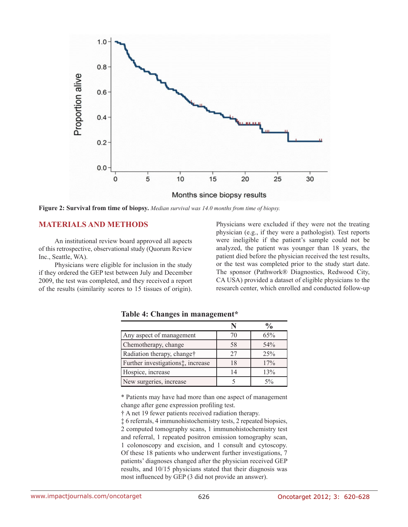

**Figure 2: Survival from time of biopsy.** *Median survival was 14.0 months from time of biopsy.*

#### **MATERIALS AND METHODS**

An institutional review board approved all aspects of this retrospective, observational study (Quorum Review Inc., Seattle, WA).

Physicians were eligible for inclusion in the study if they ordered the GEP test between July and December 2009, the test was completed, and they received a report of the results (similarity scores to 15 tissues of origin). Physicians were excluded if they were not the treating physician (e.g., if they were a pathologist). Test reports were ineligible if the patient's sample could not be analyzed, the patient was younger than 18 years, the patient died before the physician received the test results, or the test was completed prior to the study start date. The sponsor (Pathwork® Diagnostics, Redwood City, CA USA) provided a dataset of eligible physicians to the research center, which enrolled and conducted follow-up

|                                                |    | $\frac{0}{0}$ |
|------------------------------------------------|----|---------------|
| Any aspect of management                       | 70 | 65%           |
| Chemotherapy, change                           | 58 | 54%           |
| Radiation therapy, change†                     | 27 | 25%           |
| Further investigations <sup>*</sup> , increase | 18 | 17%           |
| Hospice, increase                              | 14 | 13%           |
| New surgeries, increase                        |    | $5\%$         |

**Table 4: Changes in management\***

\* Patients may have had more than one aspect of management change after gene expression profiling test.

† A net 19 fewer patients received radiation therapy.

‡ 6 referrals, 4 immunohistochemistry tests, 2 repeated biopsies, 2 computed tomography scans, 1 immunohistochemistry test and referral, 1 repeated positron emission tomography scan, 1 colonoscopy and excision, and 1 consult and cytoscopy. Of these 18 patients who underwent further investigations, 7 patients' diagnoses changed after the physician received GEP results, and 10/15 physicians stated that their diagnosis was most influenced by GEP (3 did not provide an answer).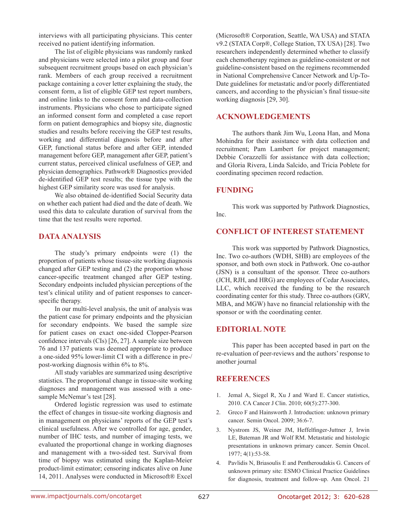interviews with all participating physicians. This center received no patient identifying information.

The list of eligible physicians was randomly ranked and physicians were selected into a pilot group and four subsequent recruitment groups based on each physician's rank. Members of each group received a recruitment package containing a cover letter explaining the study, the consent form, a list of eligible GEP test report numbers, and online links to the consent form and data-collection instruments. Physicians who chose to participate signed an informed consent form and completed a case report form on patient demographics and biopsy site, diagnostic studies and results before receiving the GEP test results, working and differential diagnosis before and after GEP, functional status before and after GEP, intended management before GEP, management after GEP, patient's current status, perceived clinical usefulness of GEP, and physician demographics. Pathwork® Diagnostics provided de-identified GEP test results; the tissue type with the highest GEP similarity score was used for analysis.

We also obtained de-identified Social Security data on whether each patient had died and the date of death. We used this data to calculate duration of survival from the time that the test results were reported.

## **DATA ANALYSIS**

The study's primary endpoints were (1) the proportion of patients whose tissue-site working diagnosis changed after GEP testing and (2) the proportion whose cancer-specific treatment changed after GEP testing. Secondary endpoints included physician perceptions of the test's clinical utility and of patient responses to cancerspecific therapy.

In our multi-level analysis, the unit of analysis was the patient case for primary endpoints and the physician for secondary endpoints. We based the sample size for patient cases on exact one-sided Clopper-Pearson confidence intervals (CIs) [26, 27]. A sample size between 76 and 137 patients was deemed appropriate to produce a one-sided 95% lower-limit CI with a difference in pre-/ post-working diagnosis within 6% to 8%.

All study variables are summarized using descriptive statistics. The proportional change in tissue-site working diagnoses and management was assessed with a onesample McNemar's test [28].

Ordered logistic regression was used to estimate the effect of changes in tissue-site working diagnosis and in management on physicians' reports of the GEP test's clinical usefulness. After we controlled for age, gender, number of IHC tests, and number of imaging tests, we evaluated the proportional change in working diagnoses and management with a two-sided test. Survival from time of biopsy was estimated using the Kaplan-Meier product-limit estimator; censoring indicates alive on June 14, 2011. Analyses were conducted in Microsoft® Excel (Microsoft® Corporation, Seattle, WA USA) and STATA v9.2 (STATA Corp®, College Station, TX USA) [28]. Two researchers independently determined whether to classify each chemotherapy regimen as guideline-consistent or not guideline-consistent based on the regimens recommended in National Comprehensive Cancer Network and Up-To-Date guidelines for metastatic and/or poorly differentiated cancers, and according to the physician's final tissue-site working diagnosis [29, 30].

## **ACKNOWLEDGEMENTS**

The authors thank Jim Wu, Leona Han, and Mona Mohindra for their assistance with data collection and recruitment; Pam Lambert for project management; Debbie Corazzelli for assistance with data collection; and Gloria Rivera, Linda Salcido, and Tricia Poblete for coordinating specimen record redaction.

## **FUNDING**

This work was supported by Pathwork Diagnostics, Inc.

## **CONFLICT OF INTEREST STATEMENT**

This work was supported by Pathwork Diagnostics, Inc. Two co-authors (WDH, SHB) are employees of the sponsor, and both own stock in Pathwork. One co-author (JSN) is a consultant of the sponsor. Three co-authors (JCH, RJH, and HRG) are employees of Cedar Associates, LLC, which received the funding to be the research coordinating center for this study. Three co-authors (GRV, MBA, and MGW) have no financial relationship with the sponsor or with the coordinating center.

## **EDITORIAL NOTE**

This paper has been accepted based in part on the re-evaluation of peer-reviews and the authors' response to another journal

## **REFERENCES**

- 1. Jemal A, Siegel R, Xu J and Ward E. Cancer statistics, 2010. CA Cancer J Clin. 2010; 60(5):277-300.
- 2. Greco F and Hainsworth J. Introduction: unknown primary cancer. Semin Oncol. 2009; 36:6-7.
- 3. Nystrom JS, Weiner JM, Heffelfinger-Juttner J, Irwin LE, Bateman JR and Wolf RM. Metastatic and histologic presentations in unknown primary cancer. Semin Oncol. 1977; 4(1):53-58.
- 4. Pavlidis N, Briasoulis E and Pentheroudakis G. Cancers of unknown primary site: ESMO Clinical Practice Guidelines for diagnosis, treatment and follow-up. Ann Oncol. 21